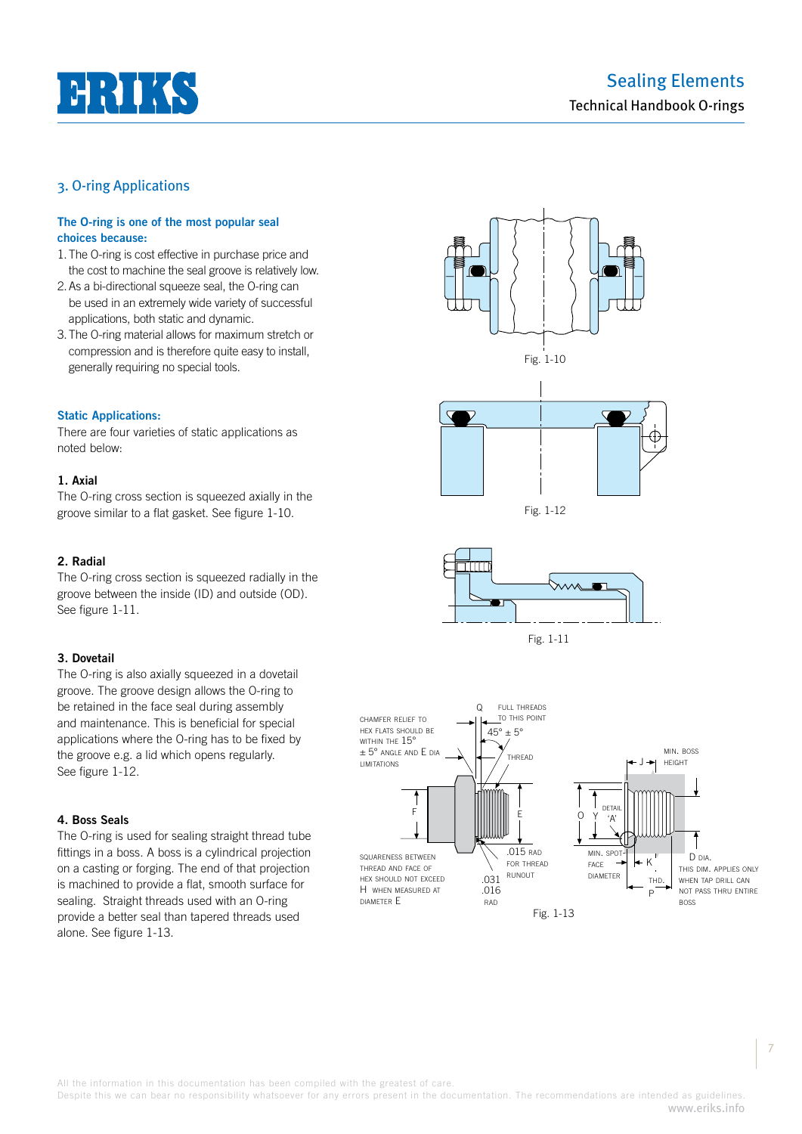# $H H K$

# Sealing Elements Technical Handbook O-rings

# 3. O-ring Applications

#### **The O-ring is one of the most popular seal choices because:**

- 1. The O-ring is cost effective in purchase price and the cost to machine the seal groove is relatively low.
- 2. As a bi-directional squeeze seal, the O-ring can be used in an extremely wide variety of successful applications, both static and dynamic.
- 3. The O-ring material allows for maximum stretch or compression and is therefore quite easy to install, generally requiring no special tools.

#### **Static Applications:**

There are four varieties of static applications as noted below:

#### **1. Axial**

The O-ring cross section is squeezed axially in the groove similar to a flat gasket. See figure 1-10.

#### **2. Radial**

The O-ring cross section is squeezed radially in the groove between the inside (ID) and outside (OD). See figure 1-11.

#### **3. Dovetail**

The O-ring is also axially squeezed in a dovetail groove. The groove design allows the O-ring to be retained in the face seal during assembly and maintenance. This is beneficial for special applications where the O-ring has to be fixed by the groove e.g. a lid which opens regularly. See figure 1-12.

#### **4. Boss Seals**

The O-ring is used for sealing straight thread tube fittings in a boss. A boss is a cylindrical projection on a casting or forging. The end of that projection is machined to provide a flat, smooth surface for sealing. Straight threads used with an O-ring provide a better seal than tapered threads used alone. See figure 1-13.